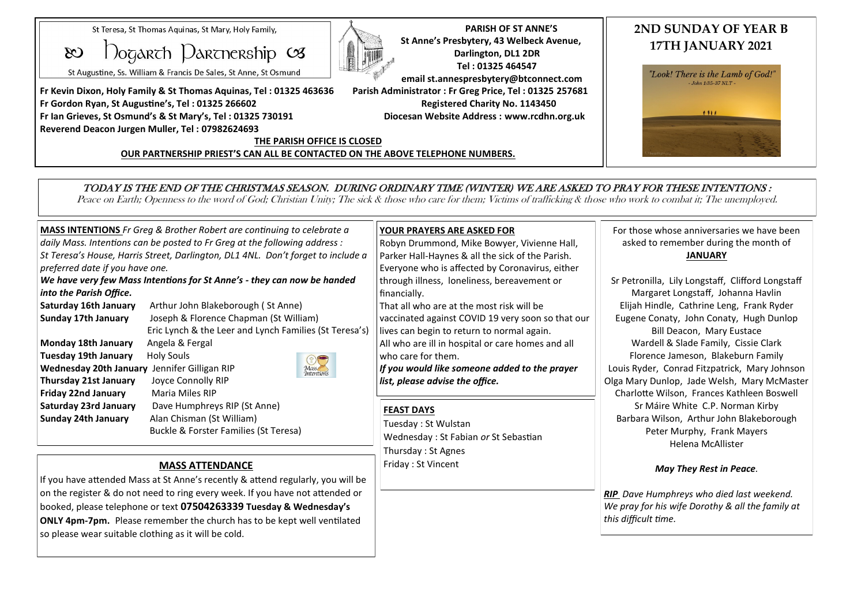St Teresa, St Thomas Aguinas, St Mary, Holy Family,

 $\Omega$ ogarch Darcnership  $\infty$  $\infty$ 

St Augustine, Ss. William & Francis De Sales, St Anne, St Osmund

**Fr Kevin Dixon, Holy Family & St Thomas Aquinas, Tel : 01325 463636 Parish Administrator : Fr Greg Price, Tel : 01325 257681 Fr Gordon Ryan, St Augustine's, Tel : 01325 266602 Registered Charity No. 1143450 Fr Ian Grieves, St Osmund's & St Mary's, Tel : 01325 730191 Diocesan Website Address : www.rcdhn.org.uk Reverend Deacon Jurgen Muller, Tel : 07982624693**



 **PARISH OF ST ANNE'S St Anne's Presbytery, 43 Welbeck Avenue, Darlington, DL1 2DR Tel : 01325 464547 email st.annespresbytery@btconnect.com**

## **THE PARISH OFFICE IS CLOSED OUR PARTNERSHIP PRIEST'S CAN ALL BE CONTACTED ON THE ABOVE TELEPHONE NUMBERS.**

# **2ND SUNDAY OF YEAR B 17TH JANUARY 2021**



# TODAY IS THE END OF THE CHRISTMAS SEASON. DURING ORDINARY TIME (WINTER) WE ARE ASKED TO PRAY FOR THESE INTENTIONS :

Peace on Earth; Openness to the word of God; Christian Unity; The sick & those who care for them; Victims of trafficking & those who work to combat it; The unemployed.

| <b>MASS INTENTIONS</b> Fr Greg & Brother Robert are continuing to celebrate a<br>daily Mass. Intentions can be posted to Fr Greg at the following address :<br>St Teresa's House, Harris Street, Darlington, DL1 4NL. Don't forget to include a<br>preferred date if you have one.<br>We have very few Mass Intentions for St Anne's - they can now be handed |                                                                                                                                        | <b>YOUR PRAYERS ARE ASKED FOR</b><br>Robyn Drummond, Mike Bowyer, Vivienne Hall,<br>Parker Hall-Haynes & all the sick of the Parish.<br>Everyone who is affected by Coronavirus, either<br>through illness, loneliness, bereavement or | For those whose anniversaries we have been<br>asked to remember during the month of<br><b>JANUARY</b><br>Sr Petronilla, Lily Longstaff, Clifford Longstaff                                                                                                                                                                                                  |
|---------------------------------------------------------------------------------------------------------------------------------------------------------------------------------------------------------------------------------------------------------------------------------------------------------------------------------------------------------------|----------------------------------------------------------------------------------------------------------------------------------------|----------------------------------------------------------------------------------------------------------------------------------------------------------------------------------------------------------------------------------------|-------------------------------------------------------------------------------------------------------------------------------------------------------------------------------------------------------------------------------------------------------------------------------------------------------------------------------------------------------------|
| into the Parish Office.                                                                                                                                                                                                                                                                                                                                       |                                                                                                                                        | financially.                                                                                                                                                                                                                           | Margaret Longstaff, Johanna Havlin                                                                                                                                                                                                                                                                                                                          |
| Saturday 16th January<br>Sunday 17th January                                                                                                                                                                                                                                                                                                                  | Arthur John Blakeborough (St Anne)<br>Joseph & Florence Chapman (St William)<br>Eric Lynch & the Leer and Lynch Families (St Teresa's) | That all who are at the most risk will be<br>vaccinated against COVID 19 very soon so that our<br>lives can begin to return to normal again.                                                                                           | Elijah Hindle, Cathrine Leng, Frank Ryder<br>Eugene Conaty, John Conaty, Hugh Dunlop<br>Bill Deacon, Mary Eustace                                                                                                                                                                                                                                           |
| Monday 18th January<br>Tuesday 19th January<br>Wednesday 20th January Jennifer Gilligan RIP<br>Thursday 21st January                                                                                                                                                                                                                                          | Angela & Fergal<br>Holy Souls<br>Mass<br>Intentions<br>Joyce Connolly RIP                                                              | All who are ill in hospital or care homes and all<br>who care for them.<br>If you would like someone added to the prayer<br>list, please advise the office.                                                                            | Wardell & Slade Family, Cissie Clark<br>Florence Jameson, Blakeburn Family<br>Louis Ryder, Conrad Fitzpatrick, Mary Johnson<br>Olga Mary Dunlop, Jade Welsh, Mary McMaster<br>Charlotte Wilson, Frances Kathleen Boswell<br>Sr Máire White C.P. Norman Kirby<br>Barbara Wilson, Arthur John Blakeborough<br>Peter Murphy, Frank Mayers<br>Helena McAllister |
| Friday 22nd January<br>Saturday 23rd January<br><b>Sunday 24th January</b>                                                                                                                                                                                                                                                                                    | Maria Miles RIP<br>Dave Humphreys RIP (St Anne)<br>Alan Chisman (St William)<br>Buckle & Forster Families (St Teresa)                  | <b>FEAST DAYS</b><br>Tuesday: St Wulstan<br>Wednesday: St Fabian or St Sebastian<br>Thursday: St Agnes                                                                                                                                 |                                                                                                                                                                                                                                                                                                                                                             |

Friday : St Vincent

# **MASS ATTENDANCE**

If you have attended Mass at St Anne's recently & attend regularly, you will be on the register & do not need to ring every week. If you have not attended or booked, please telephone or text **07504263339 Tuesday & Wednesday's ONLY 4pm-7pm.** Please remember the church has to be kept well ventilated so please wear suitable clothing as it will be cold.

## *May They Rest in Peace.*

*RIP Dave Humphreys who died last weekend. We pray for his wife Dorothy & all the family at this difficult time.*